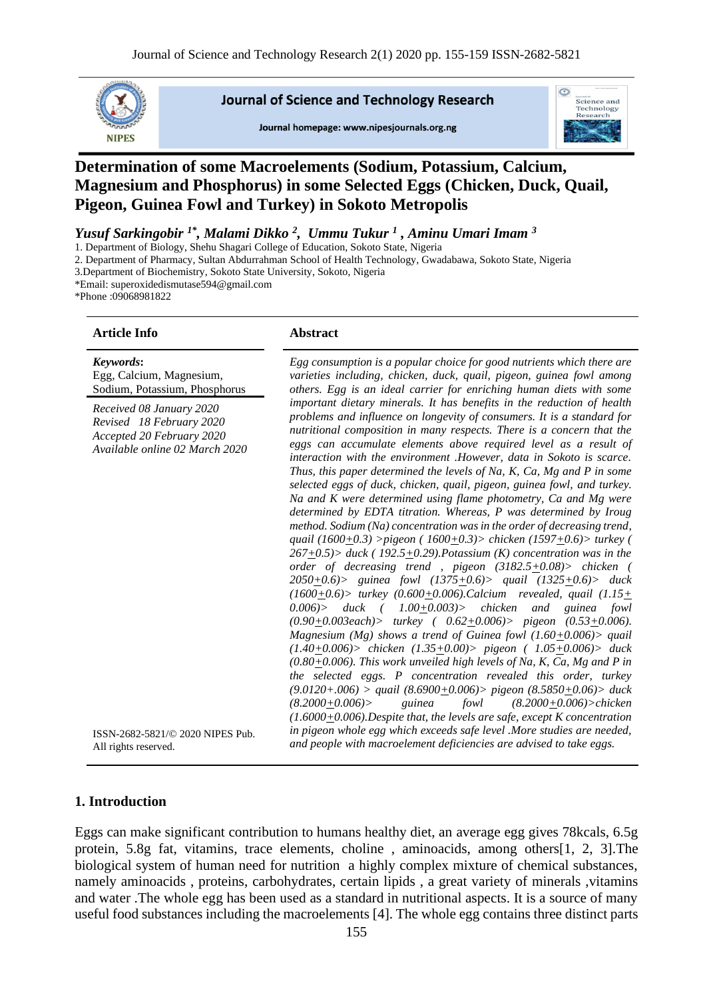

**Journal of Science and Technology Research** 

Journal homepage: www.nipesiournals.org.ng



# **Determination of some Macroelements (Sodium, Potassium, Calcium, Magnesium and Phosphorus) in some Selected Eggs (Chicken, Duck, Quail, Pigeon, Guinea Fowl and Turkey) in Sokoto Metropolis**

*Yusuf Sarkingobir 1\*, Malami Dikko <sup>2</sup> , Ummu Tukur <sup>1</sup> , Aminu Umari Imam <sup>3</sup>*

1. Department of Biology, Shehu Shagari College of Education, Sokoto State, Nigeria

2. Department of Pharmacy, Sultan Abdurrahman School of Health Technology, Gwadabawa, Sokoto State, Nigeria

3.Department of Biochemistry, Sokoto State University, Sokoto, Nigeria

\*Email: superoxidedismutase594@gmail.com

\*Phone :09068981822

#### **Article Info Abstract**

*Keywords***:** Egg, Calcium, Magnesium, Sodium, Potassium, Phosphorus

*Received 08 January 2020 Revised 18 February 2020 Accepted 20 February 2020 Available online 02 March 2020*

ISSN-2682-5821/© 2020 NIPES Pub.

*Egg consumption is a popular choice for good nutrients which there are varieties including, chicken, duck, quail, pigeon, guinea fowl among others. Egg is an ideal carrier for enriching human diets with some important dietary minerals. It has benefits in the reduction of health problems and influence on longevity of consumers. It is a standard for nutritional composition in many respects. There is a concern that the eggs can accumulate elements above required level as a result of interaction with the environment .However, data in Sokoto is scarce. Thus, this paper determined the levels of Na, K, Ca, Mg and P in some selected eggs of duck, chicken, quail, pigeon, guinea fowl, and turkey. Na and K were determined using flame photometry, Ca and Mg were determined by EDTA titration. Whereas, P was determined by Iroug method. Sodium (Na) concentration was in the order of decreasing trend, quail (1600+0.3) >pigeon ( 1600+0.3)> chicken (1597+0.6)> turkey ( 267+0.5)> duck ( 192.5+0.29).Potassium (K) concentration was in the order of decreasing trend , pigeon (3182.5+0.08)> chicken ( 2050+0.6)> guinea fowl (1375+0.6)> quail (1325+0.6)> duck (1600+0.6)> turkey (0.600+0.006).Calcium revealed, quail (1.15+ 0.006)> duck ( 1.00+0.003)> chicken and guinea fowl (0.90+0.003each)> turkey ( 0.62+0.006)> pigeon (0.53+0.006). Magnesium (Mg) shows a trend of Guinea fowl (1.60+0.006)> quail (1.40+0.006)> chicken (1.35+0.00)> pigeon ( 1.05+0.006)> duck (0.80+0.006). This work unveiled high levels of Na, K, Ca, Mg and P in the selected eggs. P concentration revealed this order, turkey (9.0120+.006) > quail (8.6900+0.006)> pigeon (8.5850+0.06)> duck (8.2000+0.006)> guinea fowl (8.2000+0.006)>chicken (1.6000+0.006).Despite that, the levels are safe, except K concentration in pigeon whole egg which exceeds safe level .More studies are needed, and people with macroelement deficiencies are advised to take eggs.*

#### **1. Introduction**

All rights reserved.

Eggs can make significant contribution to humans healthy diet, an average egg gives 78kcals, 6.5g protein, 5.8g fat, vitamins, trace elements, choline , aminoacids, among others[1, 2, 3].The biological system of human need for nutrition a highly complex mixture of chemical substances, namely aminoacids , proteins, carbohydrates, certain lipids , a great variety of minerals ,vitamins and water .The whole egg has been used as a standard in nutritional aspects. It is a source of many useful food substances including the macroelements [4]. The whole egg contains three distinct parts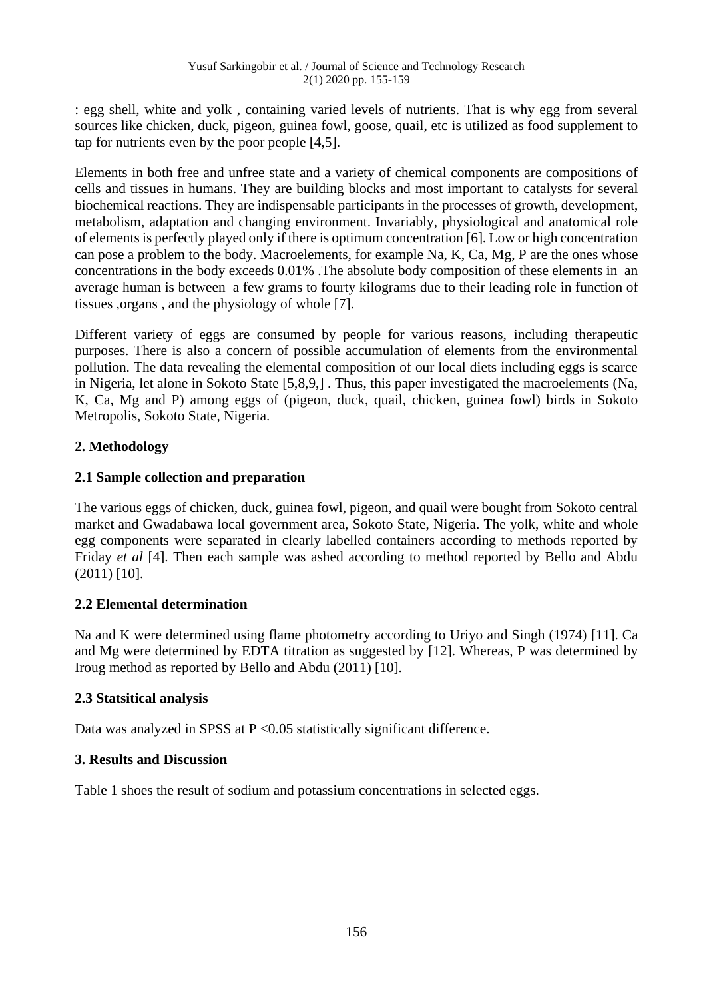: egg shell, white and yolk , containing varied levels of nutrients. That is why egg from several sources like chicken, duck, pigeon, guinea fowl, goose, quail, etc is utilized as food supplement to tap for nutrients even by the poor people [4,5].

Elements in both free and unfree state and a variety of chemical components are compositions of cells and tissues in humans. They are building blocks and most important to catalysts for several biochemical reactions. They are indispensable participants in the processes of growth, development, metabolism, adaptation and changing environment. Invariably, physiological and anatomical role of elements is perfectly played only if there is optimum concentration [6]. Low or high concentration can pose a problem to the body. Macroelements, for example Na, K, Ca, Mg, P are the ones whose concentrations in the body exceeds 0.01% .The absolute body composition of these elements in an average human is between a few grams to fourty kilograms due to their leading role in function of tissues ,organs , and the physiology of whole [7].

Different variety of eggs are consumed by people for various reasons, including therapeutic purposes. There is also a concern of possible accumulation of elements from the environmental pollution. The data revealing the elemental composition of our local diets including eggs is scarce in Nigeria, let alone in Sokoto State [5,8,9,] . Thus, this paper investigated the macroelements (Na, K, Ca, Mg and P) among eggs of (pigeon, duck, quail, chicken, guinea fowl) birds in Sokoto Metropolis, Sokoto State, Nigeria.

# **2. Methodology**

# **2.1 Sample collection and preparation**

The various eggs of chicken, duck, guinea fowl, pigeon, and quail were bought from Sokoto central market and Gwadabawa local government area, Sokoto State, Nigeria. The yolk, white and whole egg components were separated in clearly labelled containers according to methods reported by Friday *et al* [4]. Then each sample was ashed according to method reported by Bello and Abdu (2011) [10].

# **2.2 Elemental determination**

Na and K were determined using flame photometry according to Uriyo and Singh (1974) [11]. Ca and Mg were determined by EDTA titration as suggested by [12]. Whereas, P was determined by Iroug method as reported by Bello and Abdu (2011) [10].

## **2.3 Statsitical analysis**

Data was analyzed in SPSS at  $P \le 0.05$  statistically significant difference.

## **3. Results and Discussion**

Table 1 shoes the result of sodium and potassium concentrations in selected eggs.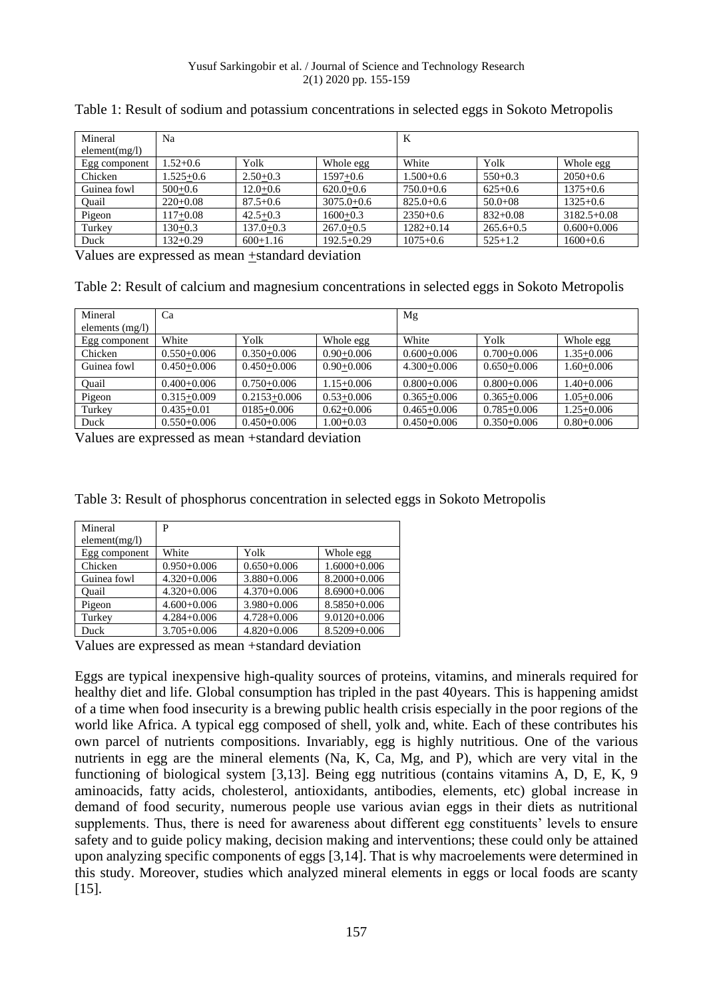| Mineral       | Na            |               |                | K             |               |                 |
|---------------|---------------|---------------|----------------|---------------|---------------|-----------------|
| element(mg/l) |               |               |                |               |               |                 |
| Egg component | $1.52+0.6$    | Yolk          | Whole egg      | White         | Yolk          | Whole egg       |
| Chicken       | $1.525 + 0.6$ | $2.50+0.3$    | $1597+0.6$     | $1.500+0.6$   | $550+0.3$     | $2050+0.6$      |
| Guinea fowl   | $500+0.6$     | $12.0 + 0.6$  | $620.0+0.6$    | $750.0 + 0.6$ | $625+0.6$     | $1375+0.6$      |
| Quail         | $220+0.08$    | $87.5 + 0.6$  | $3075.0 + 0.6$ | $825.0 + 0.6$ | $50.0 + 08$   | $1325+0.6$      |
| Pigeon        | 117+0.08      | $42.5 + 0.3$  | $1600+0.3$     | $2350+0.6$    | $832+0.08$    | $3182.5 + 0.08$ |
| Turkey        | $130+0.3$     | $137.0 + 0.3$ | $267.0 + 0.5$  | $1282+0.14$   | $265.6 + 0.5$ | $0.600 + 0.006$ |
| Duck          | $132+0.29$    | $600+1.16$    | $192.5+0.29$   | $1075 + 0.6$  | $525+1.2$     | $1600+0.6$      |

Table 1: Result of sodium and potassium concentrations in selected eggs in Sokoto Metropolis

Values are expressed as mean +standard deviation

Table 2: Result of calcium and magnesium concentrations in selected eggs in Sokoto Metropolis

| Mineral           | Ca              |                  |                | Mg              |                 |                |
|-------------------|-----------------|------------------|----------------|-----------------|-----------------|----------------|
| elements $(mg/l)$ |                 |                  |                |                 |                 |                |
| Egg component     | White           | Yolk             | Whole egg      | White           | Yolk            | Whole egg      |
| Chicken           | $0.550+0.006$   | $0.350 + 0.006$  | $0.90 + 0.006$ | $0.600 + 0.006$ | $0.700 + 0.006$ | $1.35 + 0.006$ |
| Guinea fowl       | $0.450 + 0.006$ | $0.450 + 0.006$  | $0.90 + 0.006$ | $4.300 + 0.006$ | $0.650+0.006$   | $1.60 + 0.006$ |
| Ouail             | $0.400 + 0.006$ | $0.750+0.006$    | $1.15 + 0.006$ | $0.800 + 0.006$ | $0.800 + 0.006$ | $1.40 + 0.006$ |
| Pigeon            | $0.315 + 0.009$ | $0.2153 + 0.006$ | $0.53+0.006$   | $0.365 + 0.006$ | $0.365 + 0.006$ | $1.05 + 0.006$ |
| Turkey            | $0.435 + 0.01$  | $0185 + 0.006$   | $0.62+0.006$   | $0.465 + 0.006$ | $0.785 + 0.006$ | $1.25 + 0.006$ |
| Duck              | $0.550+0.006$   | $0.450 + 0.006$  | $1.00+0.03$    | $0.450 + 0.006$ | $0.350 + 0.006$ | $0.80 + 0.006$ |

Values are expressed as mean +standard deviation

| Table 3: Result of phosphorus concentration in selected eggs in Sokoto Metropolis |  |  |  |
|-----------------------------------------------------------------------------------|--|--|--|
|                                                                                   |  |  |  |

| Mineral       | P               |                 |                  |  |  |  |
|---------------|-----------------|-----------------|------------------|--|--|--|
| element(mg/l) |                 |                 |                  |  |  |  |
| Egg component | White           | Yolk            | Whole egg        |  |  |  |
| Chicken       | $0.950 + 0.006$ | $0.650 + 0.006$ | $1.6000 + 0.006$ |  |  |  |
| Guinea fowl   | $4.320 + 0.006$ | $3.880 + 0.006$ | $8.2000 + 0.006$ |  |  |  |
| Ouail         | $4.320 + 0.006$ | $4.370 + 0.006$ | $8.6900 + 0.006$ |  |  |  |
| Pigeon        | $4.600 + 0.006$ | $3.980 + 0.006$ | $8.5850 + 0.006$ |  |  |  |
| Turkey        | $4.284 + 0.006$ | $4.728 + 0.006$ | $9.0120 + 0.006$ |  |  |  |
| Duck          | $3.705 + 0.006$ | $4.820 + 0.006$ | $8.5209 + 0.006$ |  |  |  |

Values are expressed as mean +standard deviation

Eggs are typical inexpensive high-quality sources of proteins, vitamins, and minerals required for healthy diet and life. Global consumption has tripled in the past 40years. This is happening amidst of a time when food insecurity is a brewing public health crisis especially in the poor regions of the world like Africa. A typical egg composed of shell, yolk and, white. Each of these contributes his own parcel of nutrients compositions. Invariably, egg is highly nutritious. One of the various nutrients in egg are the mineral elements (Na, K, Ca, Mg, and P), which are very vital in the functioning of biological system [3,13]. Being egg nutritious (contains vitamins A, D, E, K, 9 aminoacids, fatty acids, cholesterol, antioxidants, antibodies, elements, etc) global increase in demand of food security, numerous people use various avian eggs in their diets as nutritional supplements. Thus, there is need for awareness about different egg constituents' levels to ensure safety and to guide policy making, decision making and interventions; these could only be attained upon analyzing specific components of eggs [3,14]. That is why macroelements were determined in this study. Moreover, studies which analyzed mineral elements in eggs or local foods are scanty [15].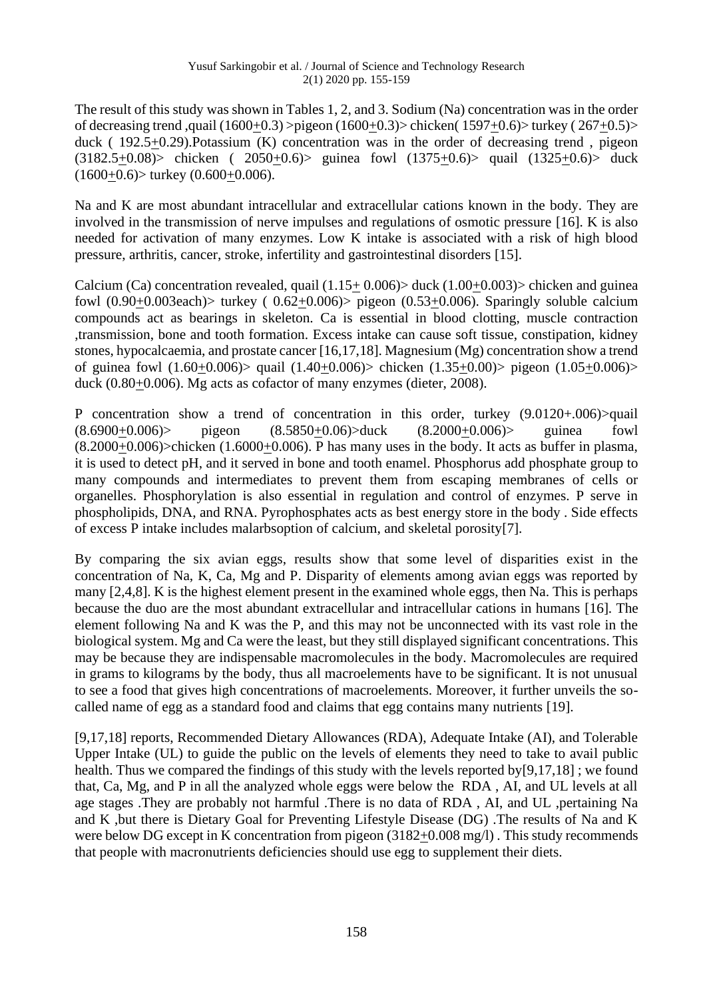The result of this study was shown in Tables 1, 2, and 3. Sodium (Na) concentration was in the order of decreasing trend ,quail (1600+0.3) >pigeon (1600+0.3)> chicken( 1597+0.6)> turkey ( 267+0.5)> duck ( 192.5+0.29).Potassium (K) concentration was in the order of decreasing trend , pigeon  $(3182.5+0.08)$  chicken ( 2050+0.6) guinea fowl  $(1375+0.6)$  quail  $(1325+0.6)$  duck  $(1600+0.6)$  turkey  $(0.600+0.006)$ .

Na and K are most abundant intracellular and extracellular cations known in the body. They are involved in the transmission of nerve impulses and regulations of osmotic pressure [16]. K is also needed for activation of many enzymes. Low K intake is associated with a risk of high blood pressure, arthritis, cancer, stroke, infertility and gastrointestinal disorders [15].

Calcium (Ca) concentration revealed, quail  $(1.15+0.006)$  duck  $(1.00+0.003)$  chicken and guinearfowl  $(0.90+0.003each)$  turkey  $(0.62+0.006)$  pigeon  $(0.53+0.006)$ . Sparingly soluble calcium compounds act as bearings in skeleton. Ca is essential in blood clotting, muscle contraction ,transmission, bone and tooth formation. Excess intake can cause soft tissue, constipation, kidney stones, hypocalcaemia, and prostate cancer [16,17,18]. Magnesium (Mg) concentration show a trend of guinea fowl (1.60+0.006)> quail (1.40+0.006)> chicken (1.35+0.00)> pigeon (1.05+0.006)> duck (0.80+0.006). Mg acts as cofactor of many enzymes (dieter, 2008).

P concentration show a trend of concentration in this order, turkey (9.0120+.006)>quail  $(8.6900+0.006)$  pigeon  $(8.5850+0.06)$  duck  $(8.2000+0.006)$  guinea fowl  $(8.2000+0.006)$  chicken  $(1.6000+0.006)$ . P has many uses in the body. It acts as buffer in plasma, it is used to detect pH, and it served in bone and tooth enamel. Phosphorus add phosphate group to many compounds and intermediates to prevent them from escaping membranes of cells or organelles. Phosphorylation is also essential in regulation and control of enzymes. P serve in phospholipids, DNA, and RNA. Pyrophosphates acts as best energy store in the body . Side effects of excess P intake includes malarbsoption of calcium, and skeletal porosity[7].

By comparing the six avian eggs, results show that some level of disparities exist in the concentration of Na, K, Ca, Mg and P. Disparity of elements among avian eggs was reported by many [2,4,8]. K is the highest element present in the examined whole eggs, then Na. This is perhaps because the duo are the most abundant extracellular and intracellular cations in humans [16]. The element following Na and K was the P, and this may not be unconnected with its vast role in the biological system. Mg and Ca were the least, but they still displayed significant concentrations. This may be because they are indispensable macromolecules in the body. Macromolecules are required in grams to kilograms by the body, thus all macroelements have to be significant. It is not unusual to see a food that gives high concentrations of macroelements. Moreover, it further unveils the socalled name of egg as a standard food and claims that egg contains many nutrients [19].

[9,17,18] reports, Recommended Dietary Allowances (RDA), Adequate Intake (AI), and Tolerable Upper Intake (UL) to guide the public on the levels of elements they need to take to avail public health. Thus we compared the findings of this study with the levels reported by[9,17,18] ; we found that, Ca, Mg, and P in all the analyzed whole eggs were below the RDA , AI, and UL levels at all age stages .They are probably not harmful .There is no data of RDA , AI, and UL ,pertaining Na and K ,but there is Dietary Goal for Preventing Lifestyle Disease (DG) .The results of Na and K were below DG except in K concentration from pigeon (3182+0.008 mg/l). This study recommends that people with macronutrients deficiencies should use egg to supplement their diets.